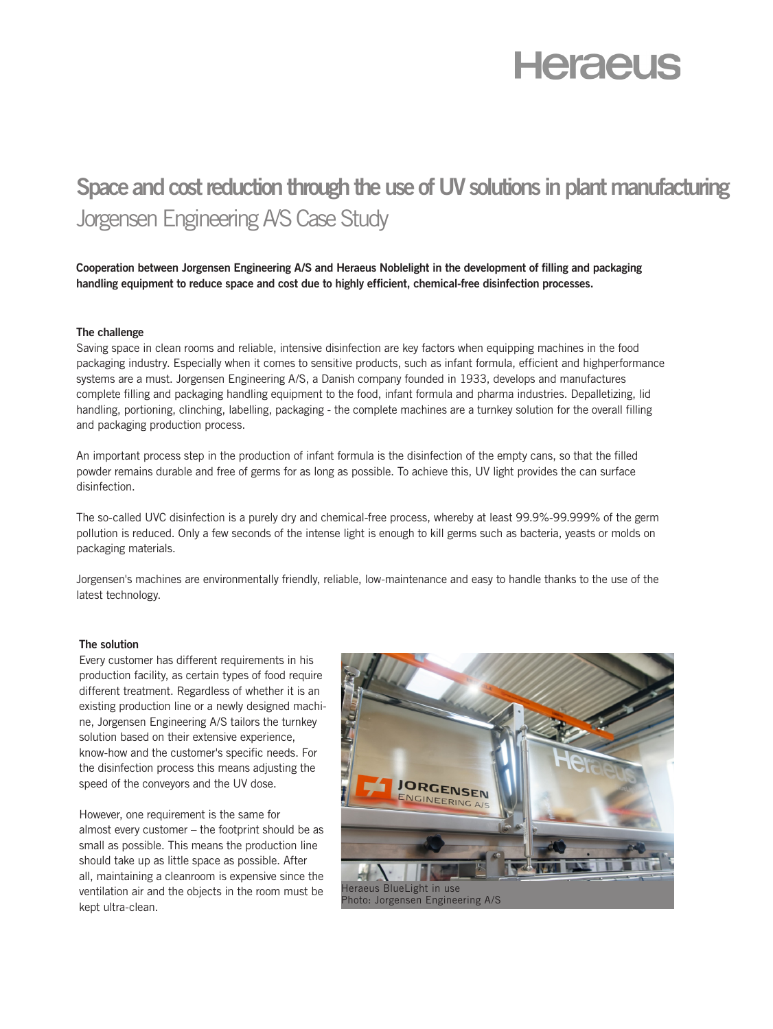# **Heraeus**

# **Space and cost reduction through the use of UV solutions in plant manufacturing**  Jorgensen Engineering A/S Case Study

**Cooperation between Jorgensen Engineering A/S and Heraeus Noblelight in the development of filling and packaging handling equipment to reduce space and cost due to highly efficient, chemical-free disinfection processes.** 

#### **The challenge**

Saving space in clean rooms and reliable, intensive disinfection are key factors when equipping machines in the food packaging industry. Especially when it comes to sensitive products, such as infant formula, efficient and highperformance systems are a must. Jorgensen Engineering A/S, a Danish company founded in 1933, develops and manufactures complete filling and packaging handling equipment to the food, infant formula and pharma industries. Depalletizing, lid handling, portioning, clinching, labelling, packaging - the complete machines are a turnkey solution for the overall filling and packaging production process.

An important process step in the production of infant formula is the disinfection of the empty cans, so that the filled powder remains durable and free of germs for as long as possible. To achieve this, UV light provides the can surface disinfection.

The so-called UVC disinfection is a purely dry and chemical-free process, whereby at least 99.9%-99.999% of the germ pollution is reduced. Only a few seconds of the intense light is enough to kill germs such as bacteria, yeasts or molds on packaging materials.

Jorgensen's machines are environmentally friendly, reliable, low-maintenance and easy to handle thanks to the use of the latest technology.

#### **The solution**

Every customer has different requirements in his production facility, as certain types of food require different treatment. Regardless of whether it is an existing production line or a newly designed machine, Jorgensen Engineering A/S tailors the turnkey solution based on their extensive experience, know-how and the customer's specific needs. For the disinfection process this means adjusting the speed of the conveyors and the UV dose.

However, one requirement is the same for almost every customer – the footprint should be as small as possible. This means the production line should take up as little space as possible. After all, maintaining a cleanroom is expensive since the ventilation air and the objects in the room must be kept ultra-clean.